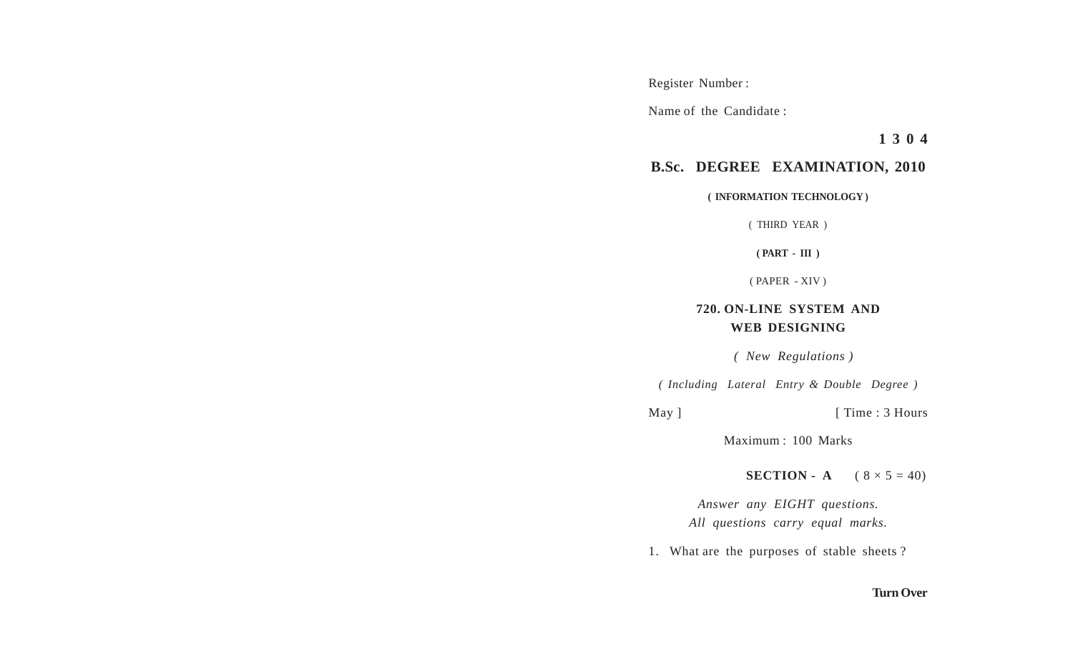Register Number :

Name of the Candidate :

**1 3 0 4**

## **B.Sc. DEGREE EXAMINATION, 2010**

**( INFORMATION TECHNOLOGY )**

( THIRD YEAR )

**( PART - III )**

( PAPER - XIV )

## **720. ON-LINE SYSTEM AND WEB DESIGNING**

 *( New Regulations )*

*( Including Lateral Entry & Double Degree )*

May ] [ Time : 3 Hours

Maximum : 100 Marks

**SECTION - A**  $(8 \times 5 = 40)$ 

*Answer any EIGHT questions. All questions carry equal marks.*

1. What are the purposes of stable sheets ?

## **Turn Over**